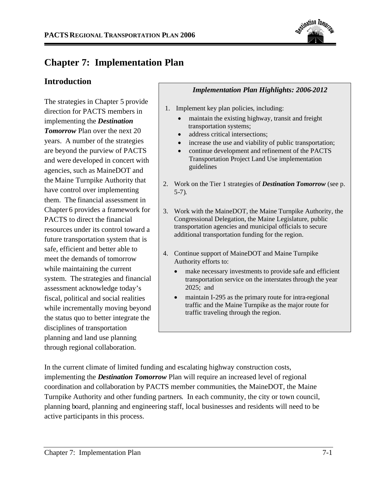

# **Chapter 7: Implementation Plan**

# **Introduction**

The strategies in Chapter 5 provide direction for PACTS members in implementing the *Destination Tomorrow* Plan over the next 20 years. A number of the strategies are beyond the purview of PACTS and were developed in concert with agencies, such as MaineDOT and the Maine Turnpike Authority that have control over implementing them. The financial assessment in Chapter 6 provides a framework for PACTS to direct the financial resources under its control toward a future transportation system that is safe, efficient and better able to meet the demands of tomorrow while maintaining the current system. The strategies and financial assessment acknowledge today's fiscal, political and social realities while incrementally moving beyond the status quo to better integrate the disciplines of transportation planning and land use planning through regional collaboration.

## *Implementation Plan Highlights: 2006-2012*

- 1. Implement key plan policies, including:
	- maintain the existing highway, transit and freight transportation systems;
	- address critical intersections;
	- increase the use and viability of public transportation;
	- continue development and refinement of the PACTS Transportation Project Land Use implementation guidelines
- 2. Work on the Tier 1 strategies of *Destination Tomorrow* (see p. 5-7).
- 3. Work with the MaineDOT, the Maine Turnpike Authority, the Congressional Delegation, the Maine Legislature, public transportation agencies and municipal officials to secure additional transportation funding for the region.
- 4. Continue support of MaineDOT and Maine Turnpike Authority efforts to:
	- make necessary investments to provide safe and efficient transportation service on the interstates through the year 2025; and
	- maintain I-295 as the primary route for intra-regional traffic and the Maine Turnpike as the major route for traffic traveling through the region.

In the current climate of limited funding and escalating highway construction costs, implementing the *Destination Tomorrow* Plan will require an increased level of regional coordination and collaboration by PACTS member communities, the MaineDOT, the Maine Turnpike Authority and other funding partners. In each community, the city or town council, planning board, planning and engineering staff, local businesses and residents will need to be active participants in this process.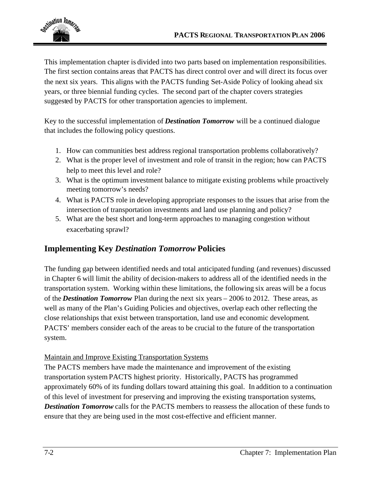

This implementation chapter is divided into two parts based on implementation responsibilities. The first section contains areas that PACTS has direct control over and will direct its focus over the next six years. This aligns with the PACTS funding Set-Aside Policy of looking ahead six years, or three biennial funding cycles. The second part of the chapter covers strategies suggested by PACTS for other transportation agencies to implement.

Key to the successful implementation of *Destination Tomorrow* will be a continued dialogue that includes the following policy questions.

- 1. How can communities best address regional transportation problems collaboratively?
- 2. What is the proper level of investment and role of transit in the region; how can PACTS help to meet this level and role?
- 3. What is the optimum investment balance to mitigate existing problems while proactively meeting tomorrow's needs?
- 4. What is PACTS role in developing appropriate responses to the issues that arise from the intersection of transportation investments and land use planning and policy?
- 5. What are the best short and long-term approaches to managing congestion without exacerbating sprawl?

# **Implementing Key** *Destination Tomorrow* **Policies**

The funding gap between identified needs and total anticipated funding (and revenues) discussed in Chapter 6 will limit the ability of decision-makers to address all of the identified needs in the transportation system. Working within these limitations, the following six areas will be a focus of the *Destination Tomorrow* Plan during the next six years – 2006 to 2012. These areas, as well as many of the Plan's Guiding Policies and objectives, overlap each other reflecting the close relationships that exist between transportation, land use and economic development. PACTS' members consider each of the areas to be crucial to the future of the transportation system.

## Maintain and Improve Existing Transportation Systems

The PACTS members have made the maintenance and improvement of the existing transportation system PACTS highest priority. Historically, PACTS has programmed approximately 60% of its funding dollars toward attaining this goal. In addition to a continuation of this level of investment for preserving and improving the existing transportation systems, **Destination Tomorrow** calls for the PACTS members to reassess the allocation of these funds to ensure that they are being used in the most cost-effective and efficient manner.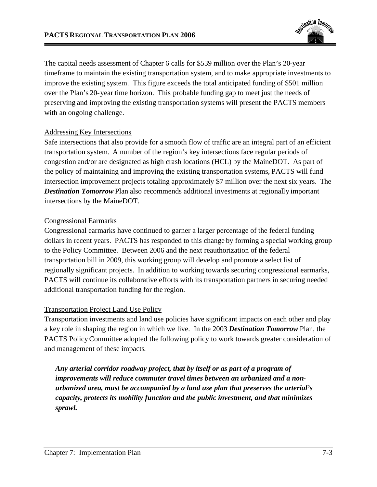

The capital needs assessment of Chapter 6 calls for \$539 million over the Plan's 20-year timeframe to maintain the existing transportation system, and to make appropriate investments to improve the existing system. This figure exceeds the total anticipated funding of \$501 million over the Plan's 20-year time horizon. This probable funding gap to meet just the needs of preserving and improving the existing transportation systems will present the PACTS members with an ongoing challenge.

#### Addressing Key Intersections

Safe intersections that also provide for a smooth flow of traffic are an integral part of an efficient transportation system. A number of the region's key intersections face regular periods of congestion and/or are designated as high crash locations (HCL) by the MaineDOT. As part of the policy of maintaining and improving the existing transportation systems, PACTS will fund intersection improvement projects totaling approximately \$7 million over the next six years. The **Destination Tomorrow** Plan also recommends additional investments at regionally important intersections by the MaineDOT.

#### Congressional Earmarks

Congressional earmarks have continued to garner a larger percentage of the federal funding dollars in recent years. PACTS has responded to this change by forming a special working group to the Policy Committee. Between 2006 and the next reauthorization of the federal transportation bill in 2009, this working group will develop and promote a select list of regionally significant projects. In addition to working towards securing congressional earmarks, PACTS will continue its collaborative efforts with its transportation partners in securing needed additional transportation funding for the region.

### Transportation Project Land Use Policy

Transportation investments and land use policies have significant impacts on each other and play a key role in shaping the region in which we live. In the 2003 *Destination Tomorrow* Plan, the PACTS PolicyCommittee adopted the following policy to work towards greater consideration of and management of these impacts.

*Any arterial corridor roadway project, that by itself or as part of a program of improvements will reduce commuter travel times between an urbanized and a nonurbanized area, must be accompanied by a land use plan that preserves the arterial's capacity, protects its mobility function and the public investment, and that minimizes sprawl.*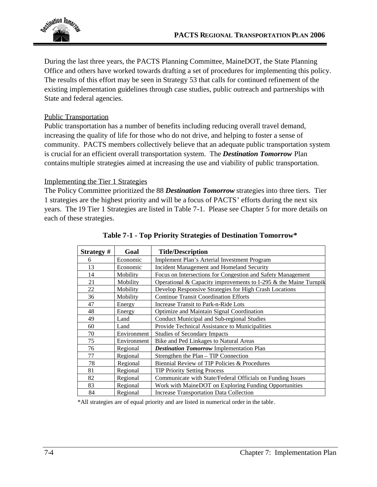

During the last three years, the PACTS Planning Committee, MaineDOT, the State Planning Office and others have worked towards drafting a set of procedures for implementing this policy. The results of this effort may be seen in Strategy 53 that calls for continued refinement of the existing implementation guidelines through case studies, public outreach and partnerships with State and federal agencies.

#### Public Transportation

Public transportation has a number of benefits including reducing overall travel demand, increasing the quality of life for those who do not drive, and helping to foster a sense of community. PACTS members collectively believe that an adequate public transportation system is crucial for an efficient overall transportation system. The *Destination Tomorrow* Plan contains multiple strategies aimed at increasing the use and viability of public transportation.

#### Implementing the Tier 1 Strategies

The Policy Committee prioritized the 88 *Destination Tomorrow* strategies into three tiers. Tier 1 strategies are the highest priority and will be a focus of PACTS' efforts during the next six years. The 19 Tier 1 Strategies are listed in Table 7-1. Please see Chapter 5 for more details on each of these strategies.

| Strategy# | Goal        | <b>Title/Description</b>                                         |
|-----------|-------------|------------------------------------------------------------------|
| 6         | Economic    | Implement Plan's Arterial Investment Program                     |
| 13        | Economic    | Incident Management and Homeland Security                        |
| 14        | Mobility    | Focus on Intersections for Congestion and Safety Management      |
| 21        | Mobility    | Operational & Capacity improvements to I-295 & the Maine Turnpik |
| 22        | Mobility    | Develop Responsive Strategies for High Crash Locations           |
| 36        | Mobility    | <b>Continue Transit Coordination Efforts</b>                     |
| 47        | Energy      | Increase Transit to Park-n-Ride Lots                             |
| 48        | Energy      | Optimize and Maintain Signal Coordination                        |
| 49        | Land        | Conduct Municipal and Sub-regional Studies                       |
| 60        | Land        | Provide Technical Assistance to Municipalities                   |
| 70        | Environment | <b>Studies of Secondary Impacts</b>                              |
| 75        | Environment | Bike and Ped Linkages to Natural Areas                           |
| 76        | Regional    | <b>Destination Tomorrow Implementation Plan</b>                  |
| 77        | Regional    | Strengthen the Plan - TIP Connection                             |
| 78        | Regional    | Biennial Review of TIP Policies & Procedures                     |
| 81        | Regional    | <b>TIP Priority Setting Process</b>                              |
| 82        | Regional    | Communicate with State/Federal Officials on Funding Issues       |
| 83        | Regional    | Work with MaineDOT on Exploring Funding Opportunities            |
| 84        | Regional    | <b>Increase Transportation Data Collection</b>                   |

| Table 7-1 - Top Priority Strategies of Destination Tomorrow* |  |  |
|--------------------------------------------------------------|--|--|
|                                                              |  |  |

\*All strategies are of equal priority and are listed in numerical order in the table.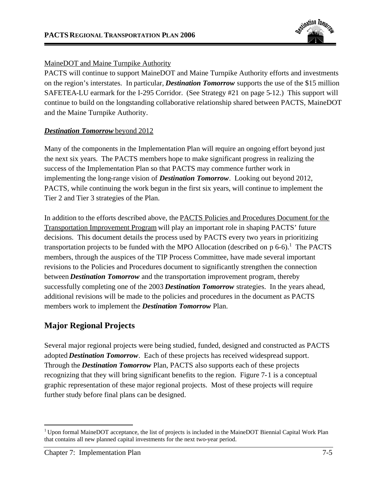

### MaineDOT and Maine Turnpike Authority

PACTS will continue to support MaineDOT and Maine Turnpike Authority efforts and investments on the region's interstates. In particular, *Destination Tomorrow* supports the use of the \$15 million SAFETEA-LU earmark for the I-295 Corridor. (See Strategy #21 on page 5-12.) This support will continue to build on the longstanding collaborative relationship shared between PACTS, MaineDOT and the Maine Turnpike Authority.

### *Destination Tomorrow* beyond 2012

Many of the components in the Implementation Plan will require an ongoing effort beyond just the next six years. The PACTS members hope to make significant progress in realizing the success of the Implementation Plan so that PACTS may commence further work in implementing the long-range vision of *Destination Tomorrow*. Looking out beyond 2012, PACTS, while continuing the work begun in the first six years, will continue to implement the Tier 2 and Tier 3 strategies of the Plan.

In addition to the efforts described above, the PACTS Policies and Procedures Document for the Transportation Improvement Program will play an important role in shaping PACTS' future decisions. This document details the process used by PACTS every two years in prioritizing transportation projects to be funded with the MPO Allocation (described on  $p 6-6$ ).<sup>1</sup> The PACTS members, through the auspices of the TIP Process Committee, have made several important revisions to the Policies and Procedures document to significantly strengthen the connection between *Destination Tomorrow* and the transportation improvement program, thereby successfully completing one of the 2003 *Destination Tomorrow* strategies. In the years ahead, additional revisions will be made to the policies and procedures in the document as PACTS members work to implement the *Destination Tomorrow* Plan.

# **Major Regional Projects**

Several major regional projects were being studied, funded, designed and constructed as PACTS adopted *Destination Tomorrow*. Each of these projects has received widespread support. Through the *Destination Tomorrow* Plan, PACTS also supports each of these projects recognizing that they will bring significant benefits to the region. Figure 7-1 is a conceptual graphic representation of these major regional projects. Most of these projects will require further study before final plans can be designed.

<sup>&</sup>lt;sup>1</sup> Upon formal MaineDOT acceptance, the list of projects is included in the MaineDOT Biennial Capital Work Plan that contains all new planned capital investments for the next two-year period.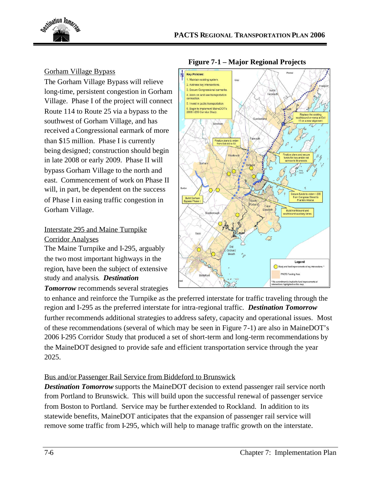

### Gorham Village Bypass

The Gorham Village Bypass will relieve long-time, persistent congestion in Gorham Village. Phase I of the project will connect Route 114 to Route 25 via a bypass to the southwest of Gorham Village, and has received a Congressional earmark of more than \$15 million. Phase I is currently being designed; construction should begin in late 2008 or early 2009. Phase II will bypass Gorham Village to the north and east. Commencement of work on Phase II will, in part, be dependent on the success of Phase I in easing traffic congestion in Gorham Village.

## Interstate 295 and Maine Turnpike Corridor Analyses

The Maine Turnpike and I-295, arguably the two most important highways in the region, have been the subject of extensive study and analysis. *Destination*

### *Tomorrow* recommends several strategies



to enhance and reinforce the Turnpike as the preferred interstate for traffic traveling through the region and I-295 as the preferred interstate for intra-regional traffic. *Destination Tomorrow* further recommends additional strategies to address safety, capacity and operational issues. Most of these recommendations (several of which may be seen in Figure 7-1) are also in MaineDOT's 2006 I-295 Corridor Study that produced a set of short-term and long-term recommendations by the MaineDOT designed to provide safe and efficient transportation service through the year 2025.

## Bus and/or Passenger Rail Service from Biddeford to Brunswick

*Destination Tomorrow* supports the MaineDOT decision to extend passenger rail service north from Portland to Brunswick. This will build upon the successful renewal of passenger service from Boston to Portland. Service may be further extended to Rockland. In addition to its statewide benefits, MaineDOT anticipates that the expansion of passenger rail service will remove some traffic from I-295, which will help to manage traffic growth on the interstate.

## **Figure 7-1 – Major Regional Projects**